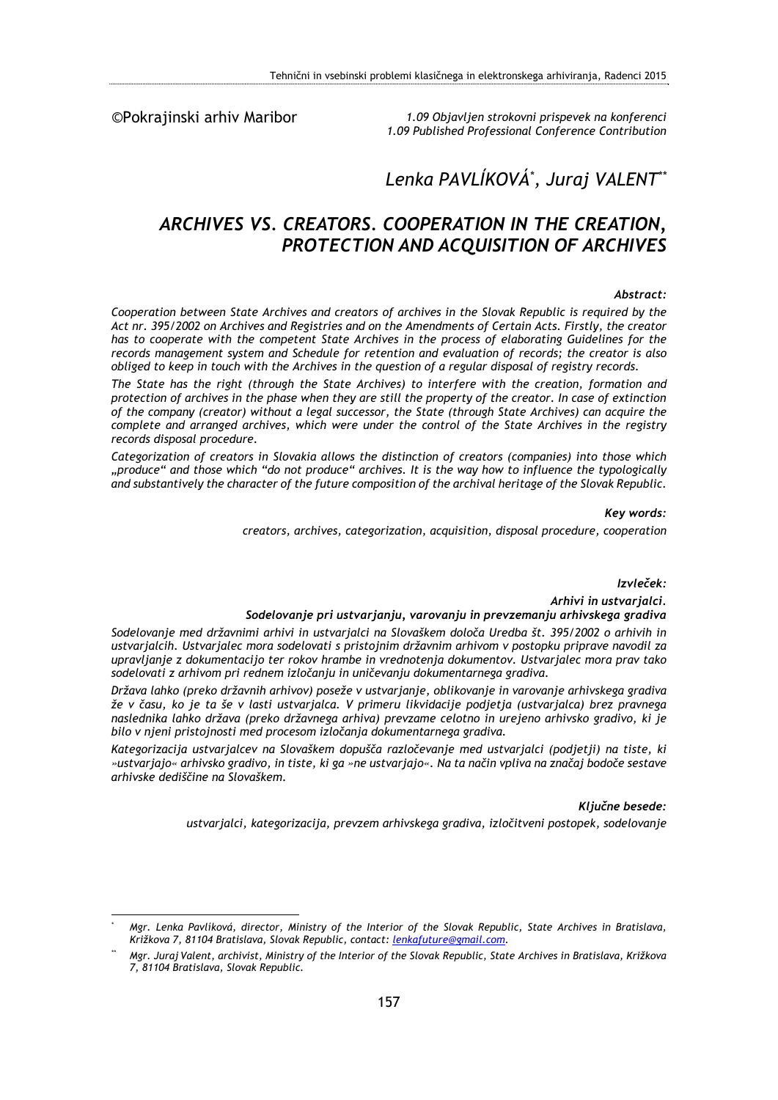©Pokrajinski arhiv Maribor

<u>.</u>

*1.09 Objavljen strokovni prispevek na konferenci 1.09 Published Professional Conference Contribution* 

# *Lenka PAVLÍKOVÁ\* , Juraj VALENT\*\**

## *ARCHIVES VS. CREATORS. COOPERATION IN THE CREATION, PROTECTION AND ACQUISITION OF ARCHIVES*

#### *Abstract:*

*Cooperation between State Archives and creators of archives in the Slovak Republic is required by the Act nr. 395/2002 on Archives and Registries and on the Amendments of Certain Acts. Firstly, the creator has to cooperate with the competent State Archives in the process of elaborating Guidelines for the records management system and Schedule for retention and evaluation of records; the creator is also obliged to keep in touch with the Archives in the question of a regular disposal of registry records.* 

*The State has the right (through the State Archives) to interfere with the creation, formation and protection of archives in the phase when they are still the property of the creator. In case of extinction of the company (creator) without a legal successor, the State (through State Archives) can acquire the complete and arranged archives, which were under the control of the State Archives in the registry records disposal procedure.* 

*Categorization of creators in Slovakia allows the distinction of creators (companies) into those which "produce" and those which "do not produce" archives. It is the way how to influence the typologically and substantively the character of the future composition of the archival heritage of the Slovak Republic.* 

*Key words:* 

*creators, archives, categorization, acquisition, disposal procedure, cooperation* 

*Izvleček:* 

*Arhivi in ustvarjalci.* 

#### *Sodelovanje pri ustvarjanju, varovanju in prevzemanju arhivskega gradiva*

*Sodelovanje med državnimi arhivi in ustvarjalci na Slovaškem določa Uredba št. 395/2002 o arhivih in ustvarjalcih. Ustvarjalec mora sodelovati s pristojnim državnim arhivom v postopku priprave navodil za upravljanje z dokumentacijo ter rokov hrambe in vrednotenja dokumentov. Ustvarjalec mora prav tako sodelovati z arhivom pri rednem izločanju in uničevanju dokumentarnega gradiva.* 

*Država lahko (preko državnih arhivov) poseže v ustvarjanje, oblikovanje in varovanje arhivskega gradiva že v času, ko je ta še v lasti ustvarjalca. V primeru likvidacije podjetja (ustvarjalca) brez pravnega naslednika lahko država (preko državnega arhiva) prevzame celotno in urejeno arhivsko gradivo, ki je bilo v njeni pristojnosti med procesom izločanja dokumentarnega gradiva.* 

*Kategorizacija ustvarjalcev na Slovaškem dopušča razločevanje med ustvarjalci (podjetji) na tiste, ki »ustvarjajo« arhivsko gradivo, in tiste, ki ga »ne ustvarjajo«. Na ta način vpliva na značaj bodoče sestave arhivske dediščine na Slovaškem.* 

*Ključne besede:* 

*ustvarjalci, kategorizacija, prevzem arhivskega gradiva, izločitveni postopek, sodelovanje* 

*<sup>\*</sup> Mgr. Lenka Pavlíková, director, Ministry of the Interior of the Slovak Republic, State Archives in Bratislava, Križkova 7, 81104 Bratislava, Slovak Republic, contact: lenkafuture@gmail.com.* 

*<sup>\*\*</sup> Mgr. Juraj Valent, archivist, Ministry of the Interior of the Slovak Republic, State Archives in Bratislava, Križkova 7, 81104 Bratislava, Slovak Republic.*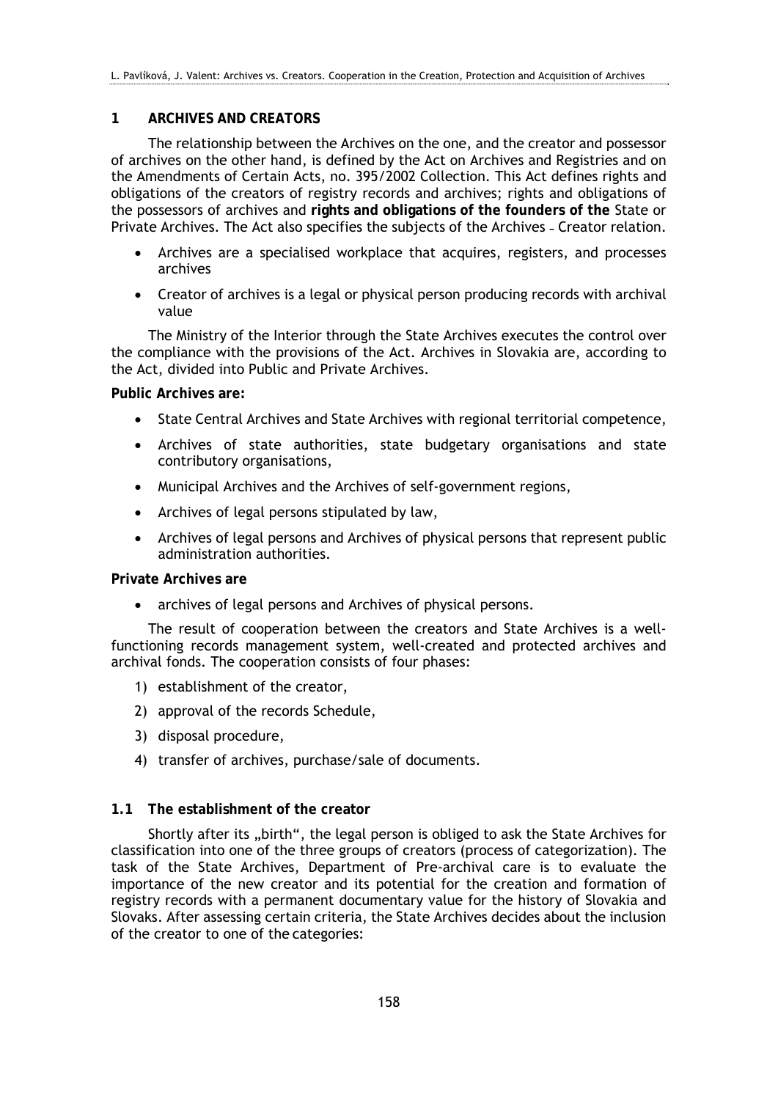## **1 ARCHIVES AND CREATORS**

The relationship between the Archives on the one, and the creator and possessor of archives on the other hand, is defined by the Act on Archives and Registries and on the Amendments of Certain Acts, no. 395/2002 Collection. This Act defines rights and obligations of the creators of registry records and archives; rights and obligations of the possessors of archives and **rights and obligations of the founders of the** State or Private Archives. The Act also specifies the subjects of the Archives - Creator relation.

- Archives are a specialised workplace that acquires, registers, and processes archives
- Creator of archives is a legal or physical person producing records with archival value

The Ministry of the Interior through the State Archives executes the control over the compliance with the provisions of the Act. Archives in Slovakia are, according to the Act, divided into Public and Private Archives.

**Public Archives are:** 

- State Central Archives and State Archives with regional territorial competence,
- Archives of state authorities, state budgetary organisations and state contributory organisations,
- Municipal Archives and the Archives of self-government regions,
- Archives of legal persons stipulated by law,
- Archives of legal persons and Archives of physical persons that represent public administration authorities.

**Private Archives are** 

archives of legal persons and Archives of physical persons.

The result of cooperation between the creators and State Archives is a wellfunctioning records management system, well-created and protected archives and archival fonds. The cooperation consists of four phases:

- 1) establishment of the creator,
- 2) approval of the records Schedule,
- 3) disposal procedure,
- 4) transfer of archives, purchase/sale of documents.

### **1.1 The establishment of the creator**

Shortly after its "birth", the legal person is obliged to ask the State Archives for classification into one of the three groups of creators (process of categorization). The task of the State Archives, Department of Pre-archival care is to evaluate the importance of the new creator and its potential for the creation and formation of registry records with a permanent documentary value for the history of Slovakia and Slovaks. After assessing certain criteria, the State Archives decides about the inclusion of the creator to one of the categories: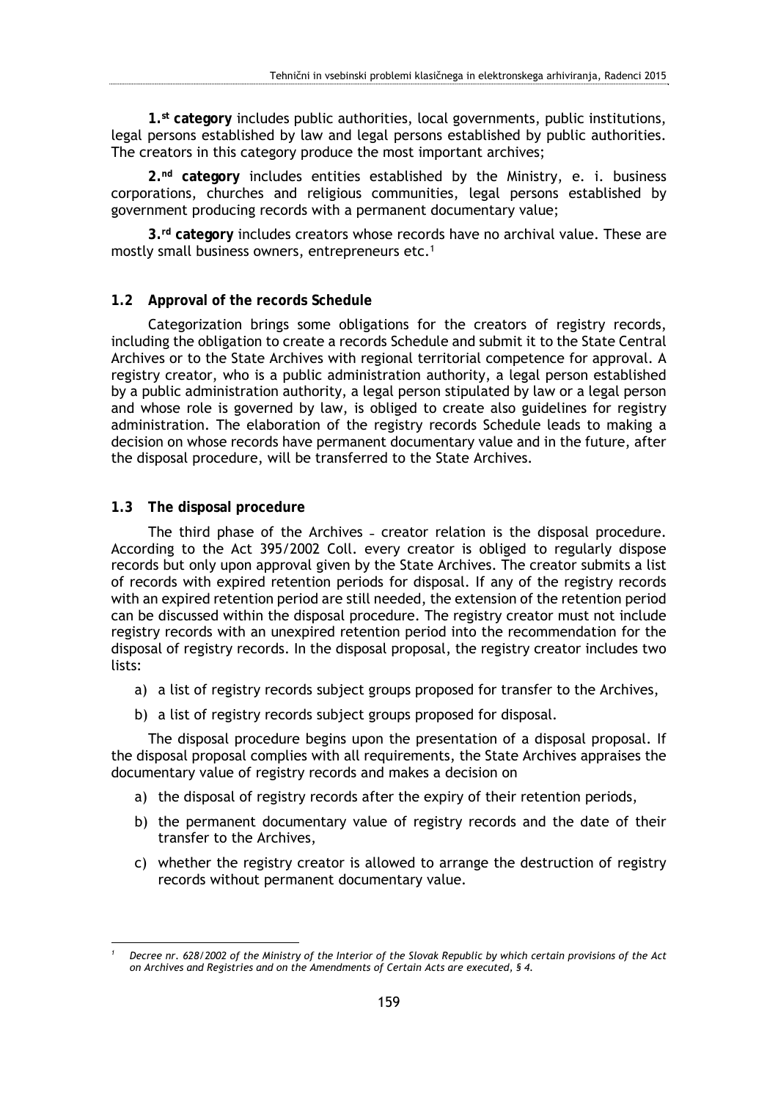**1.st category** includes public authorities, local governments, public institutions, legal persons established by law and legal persons established by public authorities. The creators in this category produce the most important archives;

**2.nd category** includes entities established by the Ministry, e. i. business corporations, churches and religious communities, legal persons established by government producing records with a permanent documentary value;

**3.rd category** includes creators whose records have no archival value. These are mostly small business owners, entrepreneurs etc.<sup>1</sup>

#### **1.2 Approval of the records Schedule**

Categorization brings some obligations for the creators of registry records, including the obligation to create a records Schedule and submit it to the State Central Archives or to the State Archives with regional territorial competence for approval. A registry creator, who is a public administration authority, a legal person established by a public administration authority, a legal person stipulated by law or a legal person and whose role is governed by law, is obliged to create also guidelines for registry administration. The elaboration of the registry records Schedule leads to making a decision on whose records have permanent documentary value and in the future, after the disposal procedure, will be transferred to the State Archives.

#### **1.3 The disposal procedure**

The third phase of the Archives - creator relation is the disposal procedure. According to the Act 395/2002 Coll. every creator is obliged to regularly dispose records but only upon approval given by the State Archives. The creator submits a list of records with expired retention periods for disposal. If any of the registry records with an expired retention period are still needed, the extension of the retention period can be discussed within the disposal procedure. The registry creator must not include registry records with an unexpired retention period into the recommendation for the disposal of registry records. In the disposal proposal, the registry creator includes two lists:

- a) a list of registry records subject groups proposed for transfer to the Archives,
- b) a list of registry records subject groups proposed for disposal.

The disposal procedure begins upon the presentation of a disposal proposal. If the disposal proposal complies with all requirements, the State Archives appraises the documentary value of registry records and makes a decision on

- a) the disposal of registry records after the expiry of their retention periods,
- b) the permanent documentary value of registry records and the date of their transfer to the Archives,
- c) whether the registry creator is allowed to arrange the destruction of registry records without permanent documentary value.

<sup>1</sup> *1 Decree nr. 628/2002 of the Ministry of the Interior of the Slovak Republic by which certain provisions of the Act on Archives and Registries and on the Amendments of Certain Acts are executed, § 4.*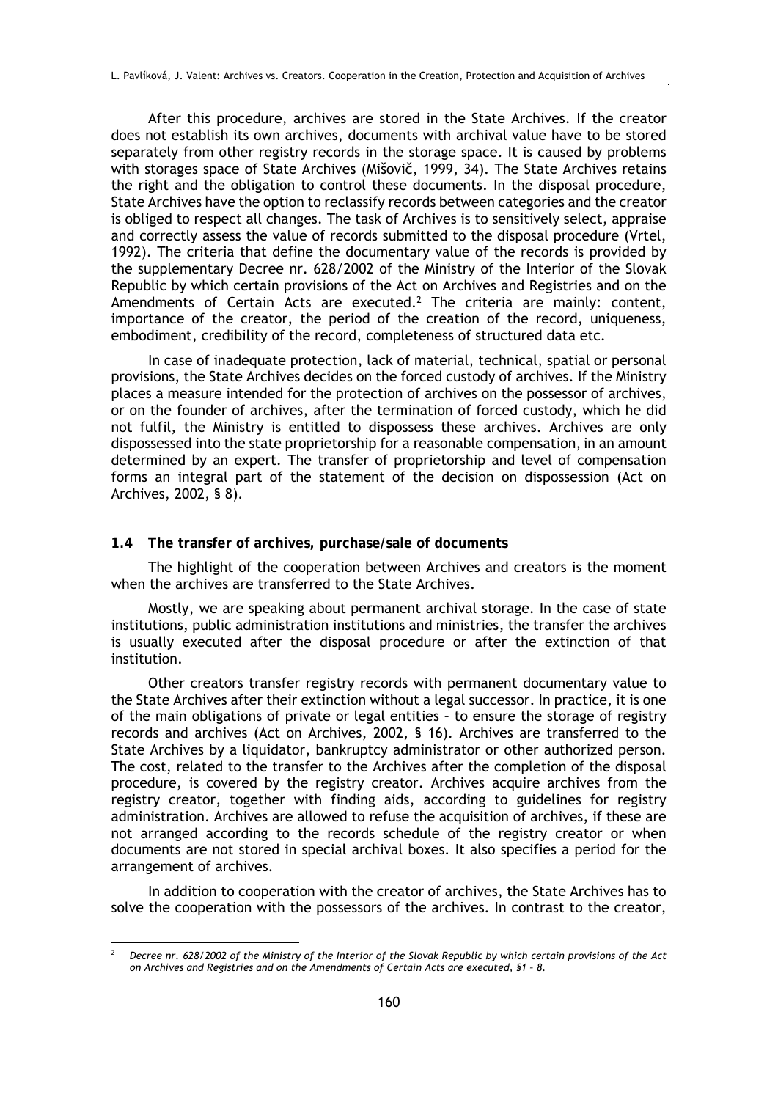After this procedure, archives are stored in the State Archives. If the creator does not establish its own archives, documents with archival value have to be stored separately from other registry records in the storage space. It is caused by problems with storages space of State Archives (Mišovič, 1999, 34). The State Archives retains the right and the obligation to control these documents. In the disposal procedure, State Archives have the option to reclassify records between categories and the creator is obliged to respect all changes. The task of Archives is to sensitively select, appraise and correctly assess the value of records submitted to the disposal procedure (Vrtel, 1992). The criteria that define the documentary value of the records is provided by the supplementary Decree nr. 628/2002 of the Ministry of the Interior of the Slovak Republic by which certain provisions of the Act on Archives and Registries and on the Amendments of Certain Acts are executed.<sup>2</sup> The criteria are mainly: content, importance of the creator, the period of the creation of the record, uniqueness, embodiment, credibility of the record, completeness of structured data etc.

In case of inadequate protection, lack of material, technical, spatial or personal provisions, the State Archives decides on the forced custody of archives. If the Ministry places a measure intended for the protection of archives on the possessor of archives, or on the founder of archives, after the termination of forced custody, which he did not fulfil, the Ministry is entitled to dispossess these archives. Archives are only dispossessed into the state proprietorship for a reasonable compensation, in an amount determined by an expert. The transfer of proprietorship and level of compensation forms an integral part of the statement of the decision on dispossession (Act on Archives, 2002, § 8).

#### **1.4 The transfer of archives, purchase/sale of documents**

1

The highlight of the cooperation between Archives and creators is the moment when the archives are transferred to the State Archives.

Mostly, we are speaking about permanent archival storage. In the case of state institutions, public administration institutions and ministries, the transfer the archives is usually executed after the disposal procedure or after the extinction of that institution.

Other creators transfer registry records with permanent documentary value to the State Archives after their extinction without a legal successor. In practice, it is one of the main obligations of private or legal entities – to ensure the storage of registry records and archives (Act on Archives, 2002, § 16). Archives are transferred to the State Archives by a liquidator, bankruptcy administrator or other authorized person. The cost, related to the transfer to the Archives after the completion of the disposal procedure, is covered by the registry creator. Archives acquire archives from the registry creator, together with finding aids, according to guidelines for registry administration. Archives are allowed to refuse the acquisition of archives, if these are not arranged according to the records schedule of the registry creator or when documents are not stored in special archival boxes. It also specifies a period for the arrangement of archives.

In addition to cooperation with the creator of archives, the State Archives has to solve the cooperation with the possessors of the archives. In contrast to the creator,

*<sup>2</sup> Decree nr. 628/2002 of the Ministry of the Interior of the Slovak Republic by which certain provisions of the Act on Archives and Registries and on the Amendments of Certain Acts are executed, §1 – 8.*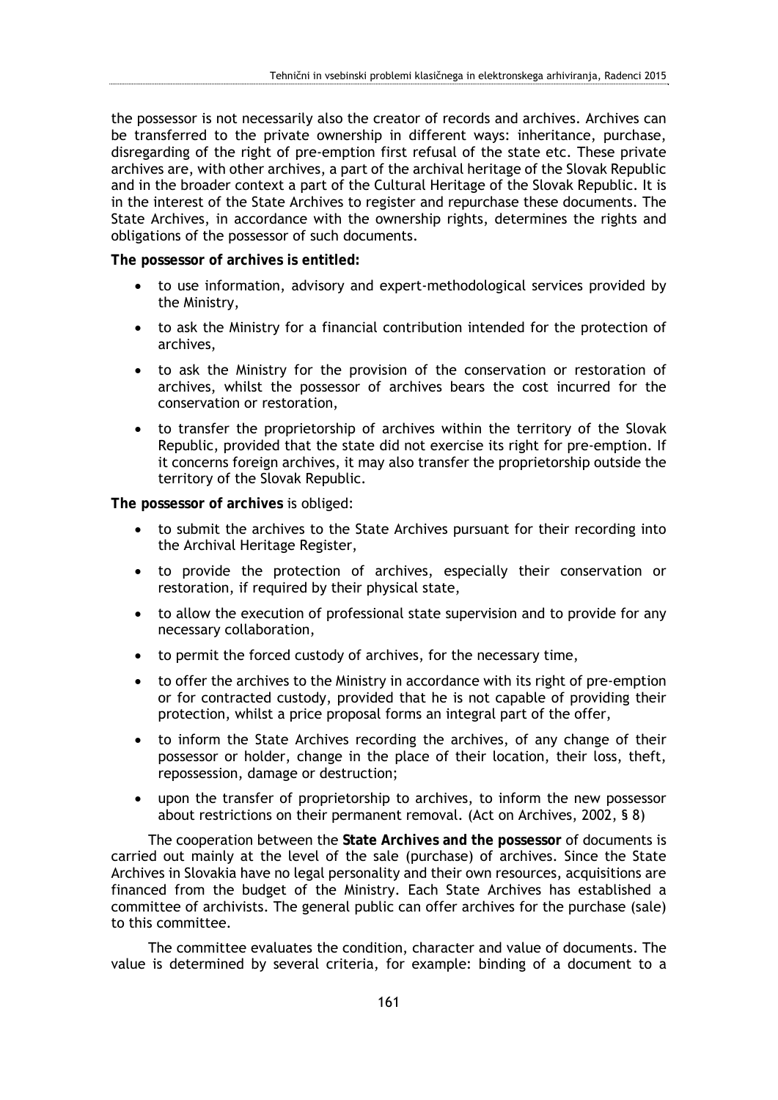the possessor is not necessarily also the creator of records and archives. Archives can be transferred to the private ownership in different ways: inheritance, purchase, disregarding of the right of pre-emption first refusal of the state etc. These private archives are, with other archives, a part of the archival heritage of the Slovak Republic and in the broader context a part of the Cultural Heritage of the Slovak Republic. It is in the interest of the State Archives to register and repurchase these documents. The State Archives, in accordance with the ownership rights, determines the rights and obligations of the possessor of such documents.

**The possessor of archives is entitled:** 

- to use information, advisory and expert-methodological services provided by the Ministry,
- to ask the Ministry for a financial contribution intended for the protection of archives,
- to ask the Ministry for the provision of the conservation or restoration of archives, whilst the possessor of archives bears the cost incurred for the conservation or restoration,
- to transfer the proprietorship of archives within the territory of the Slovak Republic, provided that the state did not exercise its right for pre-emption. If it concerns foreign archives, it may also transfer the proprietorship outside the territory of the Slovak Republic.

**The possessor of archives** is obliged:

- to submit the archives to the State Archives pursuant for their recording into the Archival Heritage Register,
- to provide the protection of archives, especially their conservation or restoration, if required by their physical state,
- to allow the execution of professional state supervision and to provide for any necessary collaboration,
- to permit the forced custody of archives, for the necessary time,
- to offer the archives to the Ministry in accordance with its right of pre-emption or for contracted custody, provided that he is not capable of providing their protection, whilst a price proposal forms an integral part of the offer,
- to inform the State Archives recording the archives, of any change of their possessor or holder, change in the place of their location, their loss, theft, repossession, damage or destruction;
- upon the transfer of proprietorship to archives, to inform the new possessor about restrictions on their permanent removal. (Act on Archives, 2002, § 8)

The cooperation between the **State Archives and the possessor** of documents is carried out mainly at the level of the sale (purchase) of archives. Since the State Archives in Slovakia have no legal personality and their own resources, acquisitions are financed from the budget of the Ministry. Each State Archives has established a committee of archivists. The general public can offer archives for the purchase (sale) to this committee.

The committee evaluates the condition, character and value of documents. The value is determined by several criteria, for example: binding of a document to a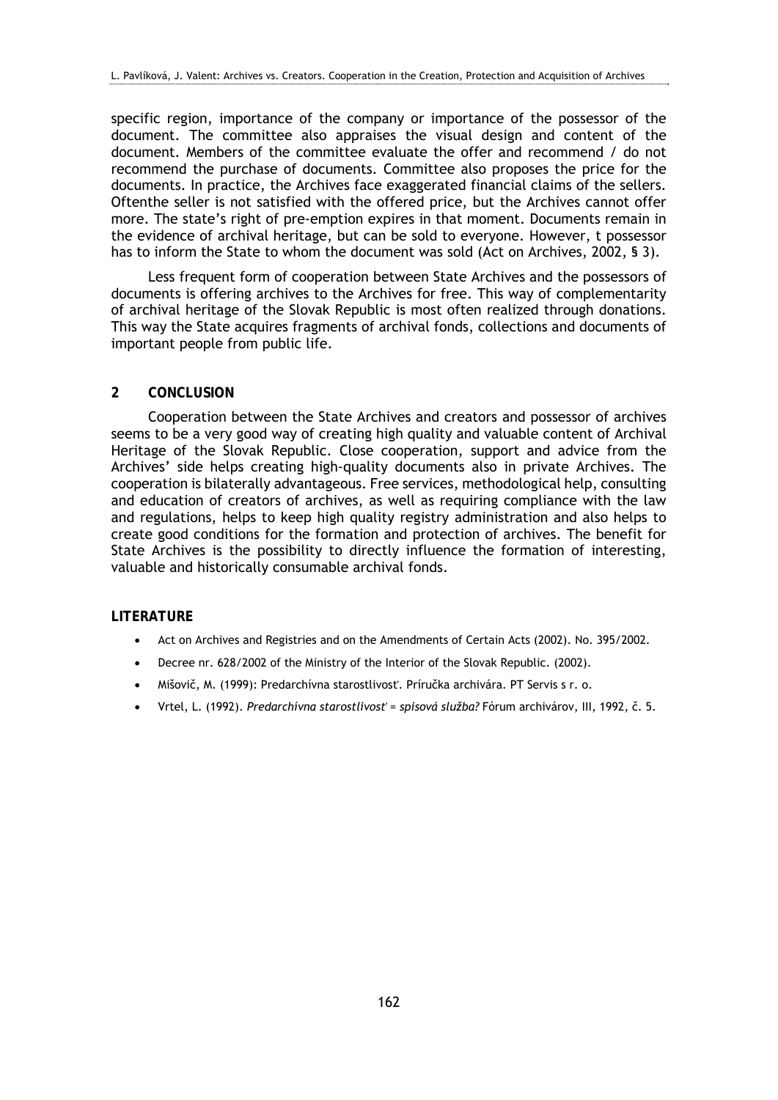specific region, importance of the company or importance of the possessor of the document. The committee also appraises the visual design and content of the document. Members of the committee evaluate the offer and recommend / do not recommend the purchase of documents. Committee also proposes the price for the documents. In practice, the Archives face exaggerated financial claims of the sellers. Oftenthe seller is not satisfied with the offered price, but the Archives cannot offer more. The state's right of pre-emption expires in that moment. Documents remain in the evidence of archival heritage, but can be sold to everyone. However, t possessor has to inform the State to whom the document was sold (Act on Archives, 2002, § 3).

Less frequent form of cooperation between State Archives and the possessors of documents is offering archives to the Archives for free. This way of complementarity of archival heritage of the Slovak Republic is most often realized through donations. This way the State acquires fragments of archival fonds, collections and documents of important people from public life.

#### **2 CONCLUSION**

Cooperation between the State Archives and creators and possessor of archives seems to be a very good way of creating high quality and valuable content of Archival Heritage of the Slovak Republic. Close cooperation, support and advice from the Archives' side helps creating high-quality documents also in private Archives. The cooperation is bilaterally advantageous. Free services, methodological help, consulting and education of creators of archives, as well as requiring compliance with the law and regulations, helps to keep high quality registry administration and also helps to create good conditions for the formation and protection of archives. The benefit for State Archives is the possibility to directly influence the formation of interesting, valuable and historically consumable archival fonds.

#### **LITERATURE**

- Act on Archives and Registries and on the Amendments of Certain Acts (2002). No. 395/2002.
- Decree nr. 628/2002 of the Ministry of the Interior of the Slovak Republic. (2002).
- Mišovič, M. (1999): Predarchívna starostlivosť. Príručka archivára. PT Servis s r. o.
- Vrtel, L. (1992). *Predarchívna starostlivosť = spisová služba?* Fórum archivárov, III, 1992, č. 5.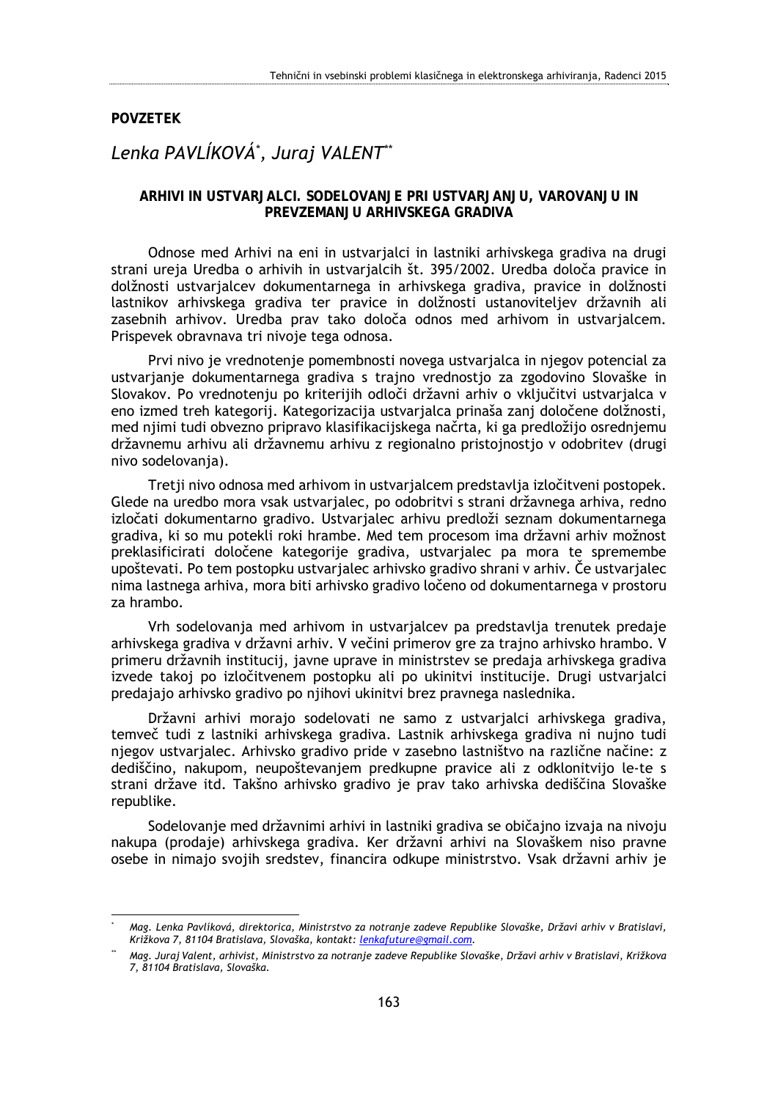#### **POVZETEK**

<u>.</u>

## *Lenka PAVLÍKOVÁ\* , Juraj VALENT\*\**

### **ARHIVI IN USTVARJALCI. SODELOVANJE PRI USTVARJANJU, VAROVANJU IN PREVZEMANJU ARHIVSKEGA GRADIVA**

Odnose med Arhivi na eni in ustvarjalci in lastniki arhivskega gradiva na drugi strani ureja Uredba o arhivih in ustvarjalcih št. 395/2002. Uredba določa pravice in dolžnosti ustvarjalcev dokumentarnega in arhivskega gradiva, pravice in dolžnosti lastnikov arhivskega gradiva ter pravice in dolžnosti ustanoviteljev državnih ali zasebnih arhivov. Uredba prav tako določa odnos med arhivom in ustvarjalcem. Prispevek obravnava tri nivoje tega odnosa.

Prvi nivo je vrednotenje pomembnosti novega ustvarjalca in njegov potencial za ustvarjanje dokumentarnega gradiva s trajno vrednostjo za zgodovino Slovaške in Slovakov. Po vrednotenju po kriterijih odloči državni arhiv o vključitvi ustvarjalca v eno izmed treh kategorij. Kategorizacija ustvarjalca prinaša zanj določene dolžnosti, med njimi tudi obvezno pripravo klasifikacijskega načrta, ki ga predložijo osrednjemu državnemu arhivu ali državnemu arhivu z regionalno pristojnostjo v odobritev (drugi nivo sodelovanja).

Tretji nivo odnosa med arhivom in ustvarjalcem predstavlja izločitveni postopek. Glede na uredbo mora vsak ustvarjalec, po odobritvi s strani državnega arhiva, redno izločati dokumentarno gradivo. Ustvarjalec arhivu predloži seznam dokumentarnega gradiva, ki so mu potekli roki hrambe. Med tem procesom ima državni arhiv možnost preklasificirati določene kategorije gradiva, ustvarjalec pa mora te spremembe upoštevati. Po tem postopku ustvarjalec arhivsko gradivo shrani v arhiv. Če ustvarjalec nima lastnega arhiva, mora biti arhivsko gradivo ločeno od dokumentarnega v prostoru za hrambo.

Vrh sodelovanja med arhivom in ustvarjalcev pa predstavlja trenutek predaje arhivskega gradiva v državni arhiv. V večini primerov gre za trajno arhivsko hrambo. V primeru državnih institucij, javne uprave in ministrstev se predaja arhivskega gradiva izvede takoj po izločitvenem postopku ali po ukinitvi institucije. Drugi ustvarjalci predajajo arhivsko gradivo po njihovi ukinitvi brez pravnega naslednika.

Državni arhivi morajo sodelovati ne samo z ustvarjalci arhivskega gradiva, temveč tudi z lastniki arhivskega gradiva. Lastnik arhivskega gradiva ni nujno tudi njegov ustvarjalec. Arhivsko gradivo pride v zasebno lastništvo na različne načine: z dediščino, nakupom, neupoštevanjem predkupne pravice ali z odklonitvijo le-te s strani države itd. Takšno arhivsko gradivo je prav tako arhivska dediščina Slovaške republike.

Sodelovanje med državnimi arhivi in lastniki gradiva se običajno izvaja na nivoju nakupa (prodaje) arhivskega gradiva. Ker državni arhivi na Slovaškem niso pravne osebe in nimajo svojih sredstev, financira odkupe ministrstvo. Vsak državni arhiv je

*<sup>\*</sup> Mag. Lenka Pavlíková, direktorica, Ministrstvo za notranje zadeve Republike Slovaške, Državi arhiv v Bratislavi, Križkova 7, 81104 Bratislava, Slovaška, kontakt: lenkafuture@gmail.com.* 

*<sup>\*\*</sup> Mag. Juraj Valent, arhivist, Ministrstvo za notranje zadeve Republike Slovaške, Državi arhiv v Bratislavi, Križkova 7, 81104 Bratislava, Slovaška.*